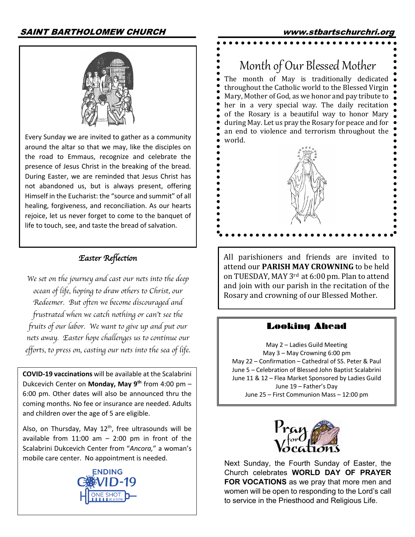

world. Every Sunday we are invited to gather as a community around the altar so that we may, like the disciples on the road to Emmaus, recognize and celebrate the presence of Jesus Christ in the breaking of the bread. During Easter, we are reminded that Jesus Christ has not abandoned us, but is always present, offering Himself in the Eucharist: the "source and summit" of all healing, forgiveness, and reconciliation. As our hearts rejoice, let us never forget to come to the banquet of life to touch, see, and taste the bread of salvation.

# *Easter Reflection*

*We set on the journey and cast our nets into the deep ocean of life, hoping to draw others to Christ, our Redeemer. But often we become discouraged and frustrated when we catch nothing or can*'*t see the fruits of our labor. We want to give up and put our nets away. Easter hope challenges us to continue our efforts, to press on, casting our nets into the sea of life*.

**COVID-19 vaccinations** will be available at the Scalabrini Dukcevich Center on **Monday, May 9th** from 4:00 pm – 6:00 pm. Other dates will also be announced thru the coming months. No fee or insurance are needed. Adults and children over the age of 5 are eligible.

Also, on Thursday, May  $12<sup>th</sup>$ , free ultrasounds will be available from  $11:00$  am  $-$  2:00 pm in front of the Scalabrini Dukcevich Center from "*Ancora,*" a woman's mobile care center. No appointment is needed.



Month of Our Blessed Mother The month of May is traditionally dedicated throughout the Catholic world to the Blessed Virgin Mary, Mother of God, as we honor and pay tribute to her in a very special way. The daily recitation of the Rosary is a beautiful way to honor Mary during May. Let us pray the Rosary for peace and for an end to violence and terrorism throughout the

All parishioners and friends are invited to attend our **PARISH MAY CROWNING** to be held on TUESDAY, MAY 3<sup>rd</sup> at 6:00 pm. Plan to attend and join with our parish in the recitation of the Rosary and crowning of our Blessed Mother.

#### Looking Ahead

May 2 – Ladies Guild Meeting May 3 – May Crowning 6:00 pm May 22 – Confirmation – Cathedral of SS. Peter & Paul June 5 – Celebration of Blessed John Baptist Scalabrini June 11 & 12 – Flea Market Sponsored by Ladies Guild June 19 – Father's Day June 25 – First Communion Mass – 12:00 pm



Next Sunday, the Fourth Sunday of Easter, the Church celebrates **WORLD DAY OF PRAYER FOR VOCATIONS** as we pray that more men and women will be open to responding to the Lord's call to service in the Priesthood and Religious Life.